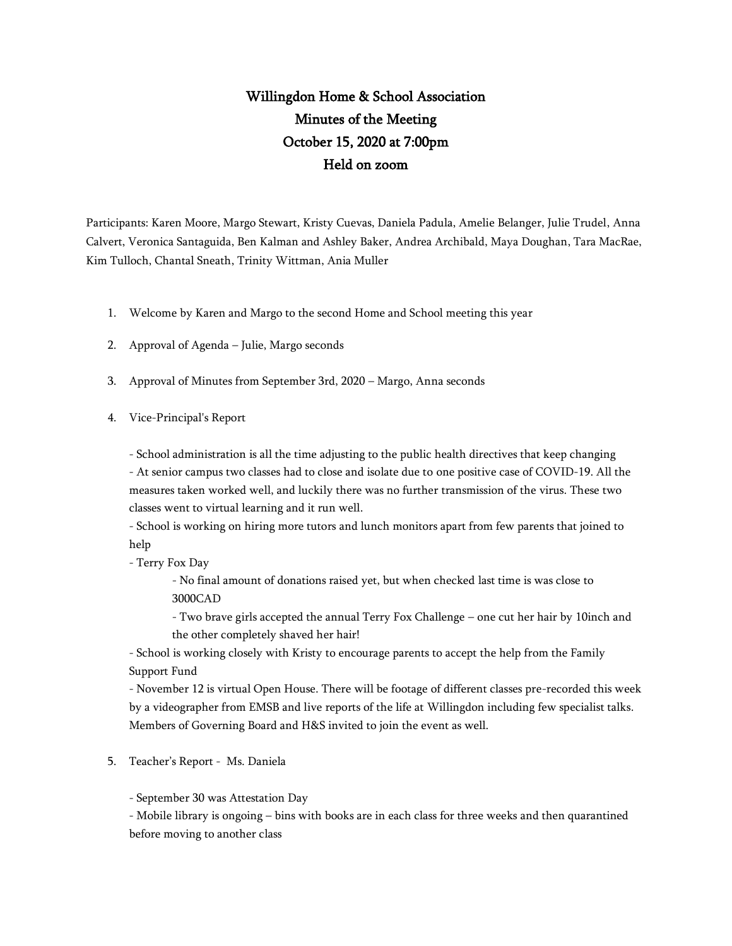## Willingdon Home & School Association Minutes of the Meeting October 15, 2020 at 7:00pm Held on zoom

Participants: Karen Moore, Margo Stewart, Kristy Cuevas, Daniela Padula, Amelie Belanger, Julie Trudel, Anna Calvert, Veronica Santaguida, Ben Kalman and Ashley Baker, Andrea Archibald, Maya Doughan, Tara MacRae, Kim Tulloch, Chantal Sneath, Trinity Wittman, Ania Muller

- 1. Welcome by Karen and Margo to the second Home and School meeting this year
- 2. Approval of Agenda Julie, Margo seconds
- 3. Approval of Minutes from September 3rd, 2020 Margo, Anna seconds
- 4. Vice-Principal's Report

- School administration is all the time adjusting to the public health directives that keep changing

- At senior campus two classes had to close and isolate due to one positive case of COVID-19. All the measures taken worked well, and luckily there was no further transmission of the virus. These two classes went to virtual learning and it run well.

- School is working on hiring more tutors and lunch monitors apart from few parents that joined to help

- Terry Fox Day

- No final amount of donations raised yet, but when checked last time is was close to 3000CAD

- Two brave girls accepted the annual Terry Fox Challenge – one cut her hair by 10inch and the other completely shaved her hair!

- School is working closely with Kristy to encourage parents to accept the help from the Family Support Fund

- November 12 is virtual Open House. There will be footage of different classes pre-recorded this week by a videographer from EMSB and live reports of the life at Willingdon including few specialist talks. Members of Governing Board and H&S invited to join the event as well.

5. Teacher's Report - Ms. Daniela

- September 30 was Attestation Day

- Mobile library is ongoing – bins with books are in each class for three weeks and then quarantined before moving to another class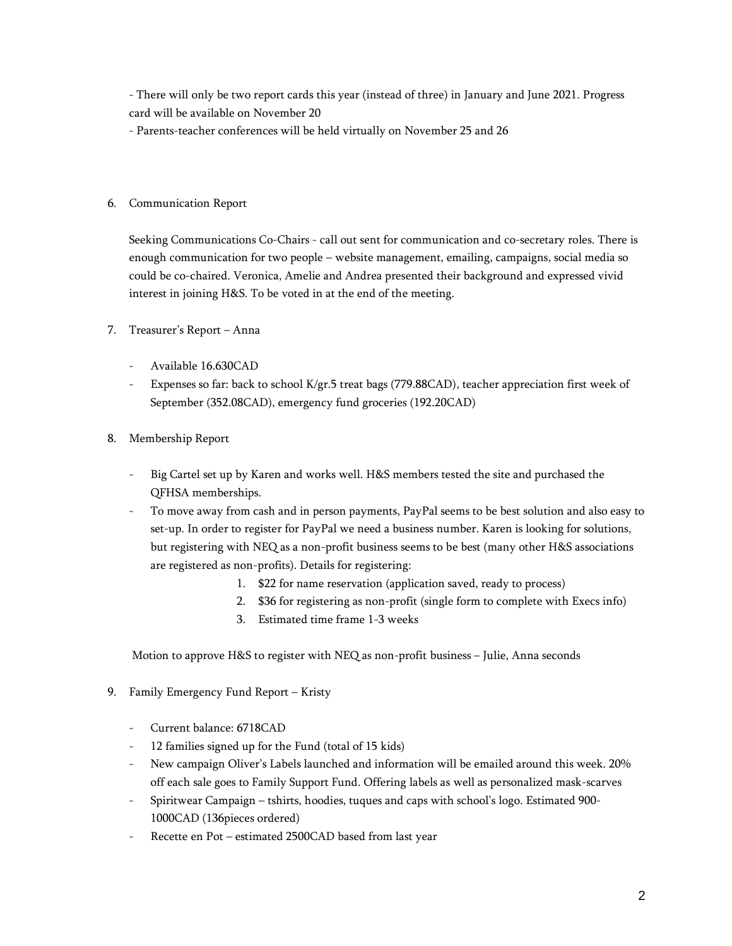- There will only be two report cards this year (instead of three) in January and June 2021. Progress card will be available on November 20

- Parents-teacher conferences will be held virtually on November 25 and 26

## 6. Communication Report

Seeking Communications Co-Chairs - call out sent for communication and co-secretary roles. There is enough communication for two people – website management, emailing, campaigns, social media so could be co-chaired. Veronica, Amelie and Andrea presented their background and expressed vivid interest in joining H&S. To be voted in at the end of the meeting.

- 7. Treasurer's Report Anna
	- Available 16.630CAD
	- Expenses so far: back to school K/gr.5 treat bags (779.88CAD), teacher appreciation first week of September (352.08CAD), emergency fund groceries (192.20CAD)
- 8. Membership Report
	- Big Cartel set up by Karen and works well. H&S members tested the site and purchased the QFHSA memberships.
	- To move away from cash and in person payments, PayPal seems to be best solution and also easy to set-up. In order to register for PayPal we need a business number. Karen is looking for solutions, but registering with NEQ as a non-profit business seems to be best (many other H&S associations are registered as non-profits). Details for registering:
		- 1. \$22 for name reservation (application saved, ready to process)
		- 2. \$36 for registering as non-profit (single form to complete with Execs info)
		- 3. Estimated time frame 1-3 weeks

Motion to approve H&S to register with NEQ as non-profit business – Julie, Anna seconds

- 9. Family Emergency Fund Report Kristy
	- Current balance: 6718CAD
	- 12 families signed up for the Fund (total of 15 kids)
	- New campaign Oliver's Labels launched and information will be emailed around this week. 20% off each sale goes to Family Support Fund. Offering labels as well as personalized mask-scarves
	- Spiritwear Campaign tshirts, hoodies, tuques and caps with school's logo. Estimated 900- 1000CAD (136pieces ordered)
	- Recette en Pot estimated 2500CAD based from last year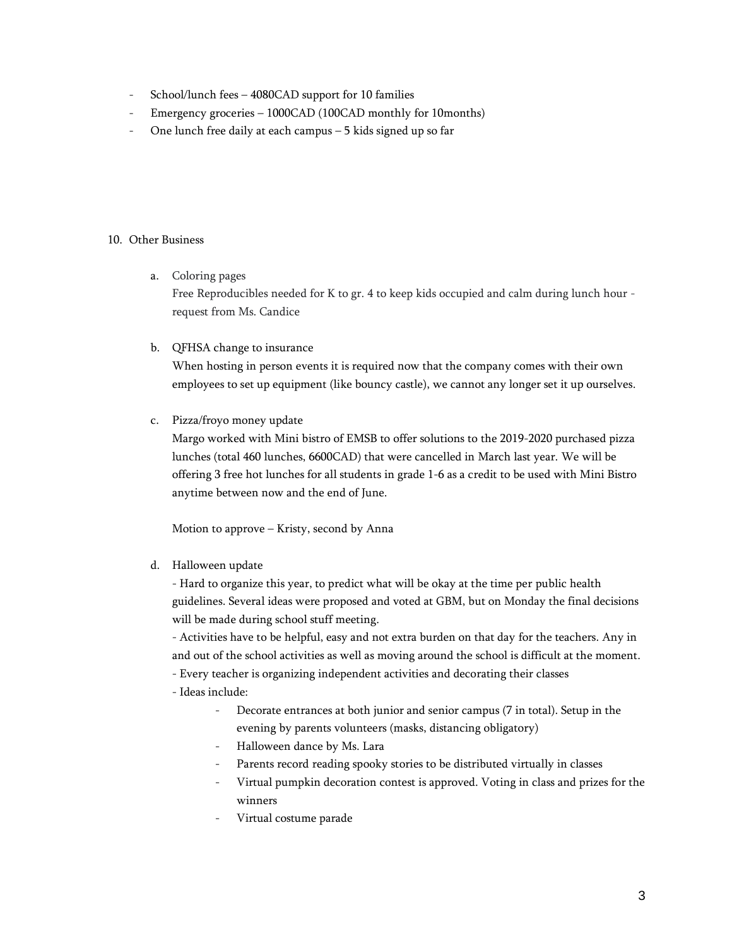- School/lunch fees 4080CAD support for 10 families
- Emergency groceries 1000CAD (100CAD monthly for 10months)
- One lunch free daily at each campus  $-5$  kids signed up so far

## 10. Other Business

a. Coloring pages

Free Reproducibles needed for K to gr. 4 to keep kids occupied and calm during lunch hour request from Ms. Candice

b. QFHSA change to insurance

When hosting in person events it is required now that the company comes with their own employees to set up equipment (like bouncy castle), we cannot any longer set it up ourselves.

c. Pizza/froyo money update

Margo worked with Mini bistro of EMSB to offer solutions to the 2019-2020 purchased pizza lunches (total 460 lunches, 6600CAD) that were cancelled in March last year. We will be offering 3 free hot lunches for all students in grade 1-6 as a credit to be used with Mini Bistro anytime between now and the end of June.

Motion to approve – Kristy, second by Anna

d. Halloween update

- Hard to organize this year, to predict what will be okay at the time per public health guidelines. Several ideas were proposed and voted at GBM, but on Monday the final decisions will be made during school stuff meeting.

- Activities have to be helpful, easy and not extra burden on that day for the teachers. Any in and out of the school activities as well as moving around the school is difficult at the moment.

- Every teacher is organizing independent activities and decorating their classes
- Ideas include:
	- Decorate entrances at both junior and senior campus (7 in total). Setup in the evening by parents volunteers (masks, distancing obligatory)
	- Halloween dance by Ms. Lara
	- Parents record reading spooky stories to be distributed virtually in classes
	- Virtual pumpkin decoration contest is approved. Voting in class and prizes for the winners
	- Virtual costume parade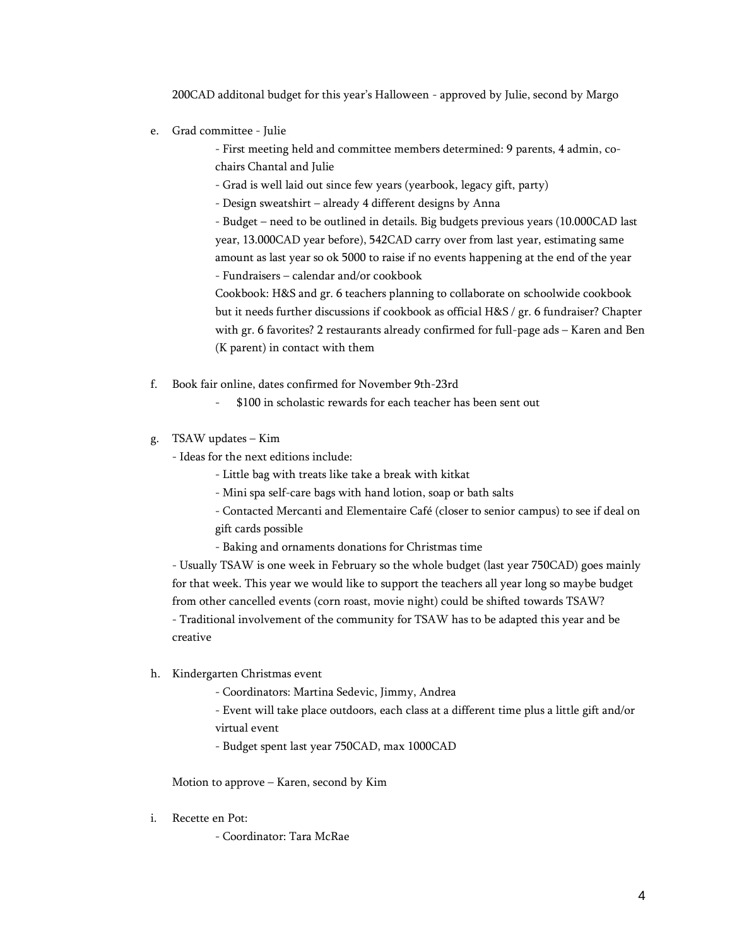200CAD additonal budget for this year's Halloween - approved by Julie, second by Margo

e. Grad committee - Julie

- First meeting held and committee members determined: 9 parents, 4 admin, cochairs Chantal and Julie

- Grad is well laid out since few years (yearbook, legacy gift, party)

- Design sweatshirt – already 4 different designs by Anna

- Budget – need to be outlined in details. Big budgets previous years (10.000CAD last year, 13.000CAD year before), 542CAD carry over from last year, estimating same amount as last year so ok 5000 to raise if no events happening at the end of the year - Fundraisers – calendar and/or cookbook

Cookbook: H&S and gr. 6 teachers planning to collaborate on schoolwide cookbook but it needs further discussions if cookbook as official H&S / gr. 6 fundraiser? Chapter with gr. 6 favorites? 2 restaurants already confirmed for full-page ads – Karen and Ben (K parent) in contact with them

- f. Book fair online, dates confirmed for November 9th-23rd
	- \$100 in scholastic rewards for each teacher has been sent out
- g. TSAW updates Kim
	- Ideas for the next editions include:
		- Little bag with treats like take a break with kitkat
		- Mini spa self-care bags with hand lotion, soap or bath salts
		- Contacted Mercanti and Elementaire Café (closer to senior campus) to see if deal on gift cards possible
		- Baking and ornaments donations for Christmas time

- Usually TSAW is one week in February so the whole budget (last year 750CAD) goes mainly for that week. This year we would like to support the teachers all year long so maybe budget from other cancelled events (corn roast, movie night) could be shifted towards TSAW?

- Traditional involvement of the community for TSAW has to be adapted this year and be creative

- h. Kindergarten Christmas event
	- Coordinators: Martina Sedevic, Jimmy, Andrea

- Event will take place outdoors, each class at a different time plus a little gift and/or

- virtual event
- Budget spent last year 750CAD, max 1000CAD

Motion to approve – Karen, second by Kim

i. Recette en Pot:

- Coordinator: Tara McRae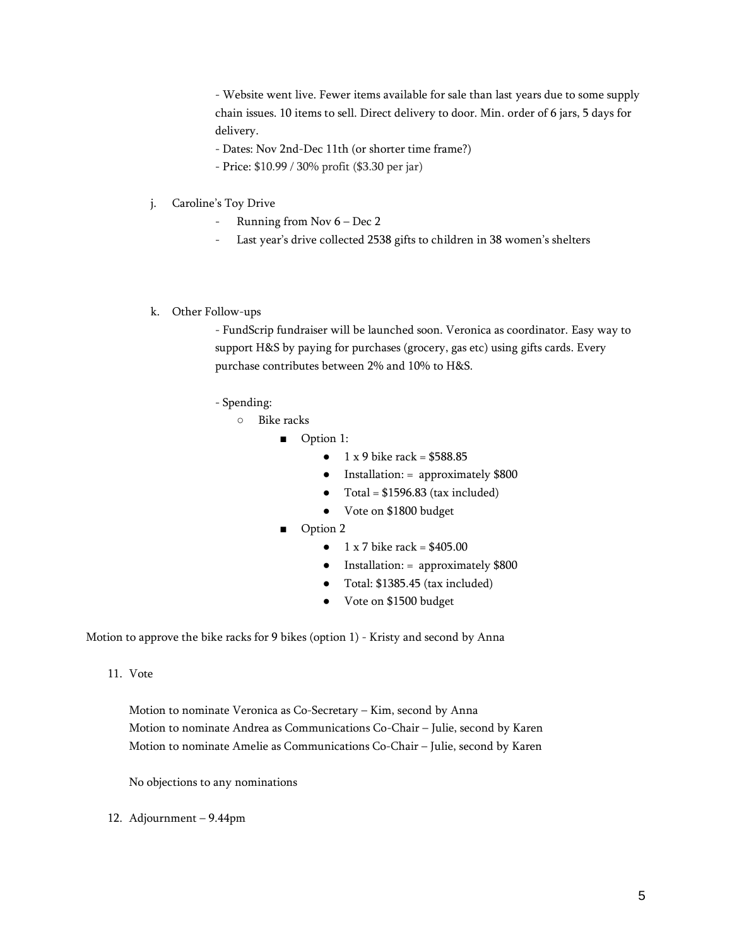- Website went live. Fewer items available for sale than last years due to some supply chain issues. 10 items to sell. Direct delivery to door. Min. order of 6 jars, 5 days for delivery.

- Dates: Nov 2nd-Dec 11th (or shorter time frame?)
- Price: \$10.99 / 30% profit (\$3.30 per jar)
- j. Caroline's Toy Drive
	- Running from Nov 6 Dec 2
	- Last year's drive collected 2538 gifts to children in 38 women's shelters
- k. Other Follow-ups

- FundScrip fundraiser will be launched soon. Veronica as coordinator. Easy way to support H&S by paying for purchases (grocery, gas etc) using gifts cards. Every purchase contributes between 2% and 10% to H&S.

- Spending:
	- Bike racks
		- Option 1:
			- $\bullet$  1 x 9 bike rack = \$588.85
			- Installation: = approximately \$800
			- $\bullet$  Total = \$1596.83 (tax included)
			- Vote on \$1800 budget
		- Option 2
			- $1 \times 7$  bike rack = \$405.00
			- Installation: = approximately \$800
			- Total: \$1385.45 (tax included)
			- Vote on \$1500 budget

Motion to approve the bike racks for 9 bikes (option 1) - Kristy and second by Anna

11. Vote

Motion to nominate Veronica as Co-Secretary – Kim, second by Anna Motion to nominate Andrea as Communications Co-Chair – Julie, second by Karen Motion to nominate Amelie as Communications Co-Chair – Julie, second by Karen

No objections to any nominations

12. Adjournment – 9.44pm